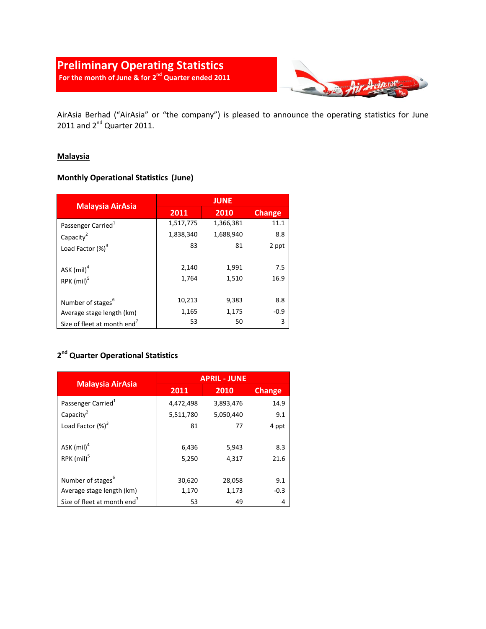## **Preliminary Operating Statistics For the month of June & for 2nd Quarter ended 2011**



AirAsia Berhad ("AirAsia" or "the company") is pleased to announce the operating statistics for June 2011 and  $2^{nd}$  Quarter 2011.

#### **Malaysia**

### **Monthly Operational Statistics (June)**

| <b>Malaysia AirAsia</b>                 | <b>JUNE</b> |           |               |
|-----------------------------------------|-------------|-----------|---------------|
|                                         | 2011        | 2010      | <b>Change</b> |
| Passenger Carried <sup>1</sup>          | 1,517,775   | 1,366,381 | 11.1          |
| Capacity <sup>2</sup>                   | 1,838,340   | 1,688,940 | 8.8           |
| Load Factor $(\%)^3$                    | 83          | 81        | 2 ppt         |
| ASK $(mil)^4$                           | 2,140       | 1,991     | 7.5           |
| RPK (mil) <sup>5</sup>                  | 1,764       | 1,510     | 16.9          |
| Number of stages <sup>6</sup>           | 10,213      | 9,383     | 8.8           |
| Average stage length (km)               | 1,165       | 1,175     | $-0.9$        |
| Size of fleet at month end <sup>7</sup> | 53          | 50        | 3             |

### **2 nd Quarter Operational Statistics**

|                                           | <b>APRIL - JUNE</b> |                |               |
|-------------------------------------------|---------------------|----------------|---------------|
| <b>Malaysia AirAsia</b>                   | 2011                | 2010           | <b>Change</b> |
| Passenger Carried <sup>1</sup>            | 4,472,498           | 3,893,476      | 14.9          |
| Capacity <sup>2</sup>                     | 5,511,780           | 5,050,440      | 9.1           |
| Load Factor $(\%)^3$                      | 81                  | 77             | 4 ppt         |
| ASK $(mil)^4$<br>$RPK$ (mil) <sup>5</sup> | 6,436<br>5,250      | 5,943<br>4,317 | 8.3<br>21.6   |
| Number of stages <sup>6</sup>             | 30,620              | 28,058         | 9.1           |
| Average stage length (km)                 | 1,170               | 1,173          | $-0.3$        |
| Size of fleet at month end <sup>7</sup>   | 53                  | 49             | 4             |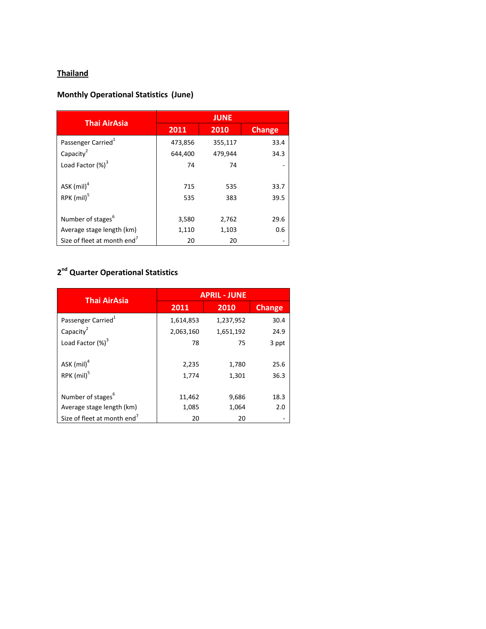## **Thailand**

# **Monthly Operational Statistics (June)**

| <b>Thai AirAsia</b>                     | <b>JUNE</b> |         |               |
|-----------------------------------------|-------------|---------|---------------|
|                                         | 2011        | 2010    | <b>Change</b> |
| Passenger Carried <sup>1</sup>          | 473,856     | 355,117 | 33.4          |
| Capacity <sup>2</sup>                   | 644,400     | 479,944 | 34.3          |
| Load Factor $(\%)^3$                    | 74          | 74      |               |
|                                         |             |         |               |
| ASK $(mil)^4$                           | 715         | 535     | 33.7          |
| RPK (mil) <sup>5</sup>                  | 535         | 383     | 39.5          |
|                                         |             |         |               |
| Number of stages <sup>6</sup>           | 3,580       | 2,762   | 29.6          |
| Average stage length (km)               | 1,110       | 1,103   | 0.6           |
| Size of fleet at month end <sup>7</sup> | 20          | 20      |               |

#### **2 nd Quarter Operational Statistics**

| <b>Thai AirAsia</b>                     | <b>APRIL - JUNE</b> |           |               |
|-----------------------------------------|---------------------|-----------|---------------|
|                                         | 2011                | 2010      | <b>Change</b> |
| Passenger Carried <sup>1</sup>          | 1,614,853           | 1,237,952 | 30.4          |
| Capacity <sup>2</sup>                   | 2,063,160           | 1,651,192 | 24.9          |
| Load Factor $(\%)^3$                    | 78                  | 75        | 3 ppt         |
|                                         |                     |           |               |
| ASK $(mil)^4$                           | 2,235               | 1,780     | 25.6          |
| RPK (mil) <sup>5</sup>                  | 1,774               | 1,301     | 36.3          |
|                                         |                     |           |               |
| Number of stages <sup>6</sup>           | 11,462              | 9,686     | 18.3          |
| Average stage length (km)               | 1,085               | 1,064     | 2.0           |
| Size of fleet at month end <sup>7</sup> | 20                  | 20        |               |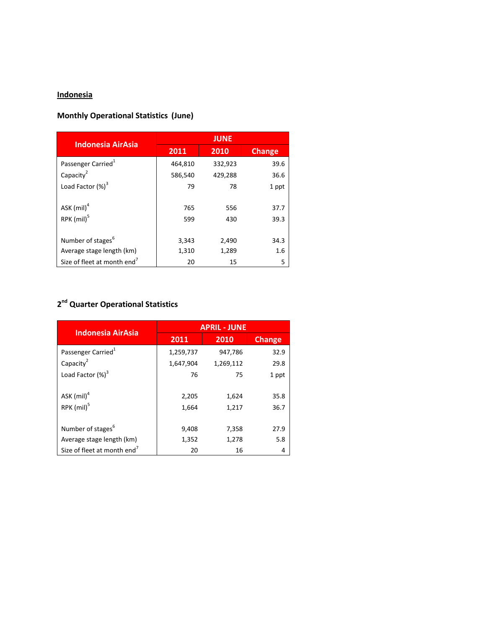#### **Indonesia**

## **Monthly Operational Statistics (June)**

| <b>Indonesia AirAsia</b>                | <b>JUNE</b> |         |               |
|-----------------------------------------|-------------|---------|---------------|
|                                         | 2011        | 2010    | <b>Change</b> |
| Passenger Carried <sup>1</sup>          | 464,810     | 332,923 | 39.6          |
| Capacity <sup>2</sup>                   | 586,540     | 429,288 | 36.6          |
| Load Factor $(\%)^3$                    | 79          | 78      | 1 ppt         |
|                                         |             |         |               |
| ASK $(mil)^4$                           | 765         | 556     | 37.7          |
| RPK (mil) <sup>5</sup>                  | 599         | 430     | 39.3          |
|                                         |             |         |               |
| Number of stages <sup>6</sup>           | 3,343       | 2,490   | 34.3          |
| Average stage length (km)               | 1,310       | 1,289   | 1.6           |
| Size of fleet at month end <sup>7</sup> | 20          | 15      | 5             |

#### **2 nd Quarter Operational Statistics**

| <b>Indonesia AirAsia</b>                | <b>APRIL - JUNE</b> |           |               |
|-----------------------------------------|---------------------|-----------|---------------|
|                                         | 2011                | 2010      | <b>Change</b> |
| Passenger Carried <sup>1</sup>          | 1,259,737           | 947,786   | 32.9          |
| Capacity <sup>2</sup>                   | 1,647,904           | 1,269,112 | 29.8          |
| Load Factor $(\%)^3$                    | 76                  | 75        | 1 ppt         |
|                                         |                     |           |               |
| ASK $(mil)^4$                           | 2,205               | 1,624     | 35.8          |
| RPK (mil) <sup>5</sup>                  | 1,664               | 1,217     | 36.7          |
|                                         |                     |           |               |
| Number of stages <sup>6</sup>           | 9,408               | 7,358     | 27.9          |
| Average stage length (km)               | 1,352               | 1,278     | 5.8           |
| Size of fleet at month end <sup>7</sup> | 20                  | 16        | 4             |